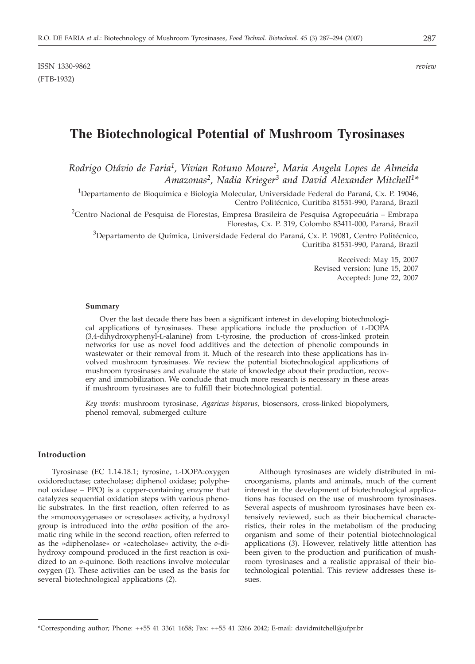ISSN 1330-9862 *review* (FTB-1932)

# **The Biotechnological Potential of Mushroom Tyrosinases**

*Rodrigo Otávio de Faria1, Vivian Rotuno Moure1, Maria Angela Lopes de Almeida Amazonas2, Nadia Krieger3 and David Alexander Mitchell1\**

<sup>1</sup>Departamento de Bioquímica e Biologia Molecular, Universidade Federal do Paraná, Cx. P. 19046, Centro Politécnico, Curitiba 81531-990, Paraná, Brazil

 $^2$ Centro Nacional de Pesquisa de Florestas, Empresa Brasileira de Pesquisa Agropecuária – Embrapa Florestas, Cx. P. 319, Colombo 83411-000, Paraná, Brazil

 $^3$ Departamento de Química, Universidade Federal do Paraná, Cx. P. 19081, Centro Politécnico, Curitiba 81531-990, Paraná, Brazil

> Received: May 15, 2007 Revised version: June 15, 2007 Accepted: June 22, 2007

#### **Summary**

Over the last decade there has been a significant interest in developing biotechnological applications of tyrosinases. These applications include the production of L-DOPA (3,4-dihydroxyphenyl-L-alanine) from L-tyrosine, the production of cross-linked protein networks for use as novel food additives and the detection of phenolic compounds in wastewater or their removal from it. Much of the research into these applications has involved mushroom tyrosinases. We review the potential biotechnological applications of mushroom tyrosinases and evaluate the state of knowledge about their production, recovery and immobilization. We conclude that much more research is necessary in these areas if mushroom tyrosinases are to fulfill their biotechnological potential.

*Key words:* mushroom tyrosinase, *Agaricus bisporus*, biosensors, cross-linked biopolymers, phenol removal, submerged culture

### **Introduction**

Tyrosinase (EC 1.14.18.1; tyrosine, L-DOPA:oxygen oxidoreductase; catecholase; diphenol oxidase; polyphenol oxidase – PPO) is a copper-containing enzyme that catalyzes sequential oxidation steps with various phenolic substrates. In the first reaction, often referred to as the »monooxygenase« or »cresolase« activity, a hydroxyl group is introduced into the *ortho* position of the aromatic ring while in the second reaction, often referred to as the »diphenolase« or »catecholase« activity, the *o*-dihydroxy compound produced in the first reaction is oxidized to an *o*-quinone. Both reactions involve molecular oxygen (*1*). These activities can be used as the basis for several biotechnological applications (*2*).

Although tyrosinases are widely distributed in microorganisms, plants and animals, much of the current interest in the development of biotechnological applications has focused on the use of mushroom tyrosinases. Several aspects of mushroom tyrosinases have been extensively reviewed, such as their biochemical characteristics, their roles in the metabolism of the producing organism and some of their potential biotechnological applications (*3*). However, relatively little attention has been given to the production and purification of mushroom tyrosinases and a realistic appraisal of their biotechnological potential. This review addresses these issues.

<sup>\*</sup>Corresponding author; Phone: ++55 41 3361 1658; Fax: ++55 41 3266 2042; E-mail: davidmitchell*@*ufpr.br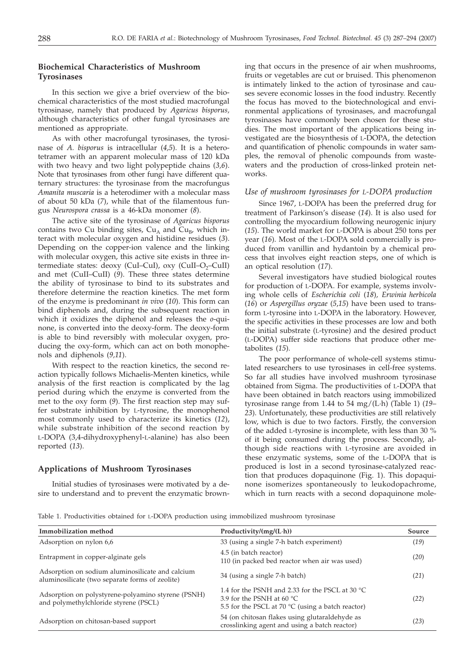# **Biochemical Characteristics of Mushroom Tyrosinases**

In this section we give a brief overview of the biochemical characteristics of the most studied macrofungal tyrosinase, namely that produced by *Agaricus bisporus,* although characteristics of other fungal tyrosinases are mentioned as appropriate.

As with other macrofungal tyrosinases, the tyrosinase of *A. bisporus* is intracellular (*4,5*). It is a heterotetramer with an apparent molecular mass of 120 kDa with two heavy and two light polypeptide chains (*3,6*). Note that tyrosinases from other fungi have different quaternary structures: the tyrosinase from the macrofungus *Amanita muscaria* is a heterodimer with a molecular mass of about 50 kDa (*7*), while that of the filamentous fungus *Neurospora crassa* is a 46-kDa monomer (*8*).

The active site of the tyrosinase of *Agaricus bisporus* contains two Cu binding sites,  $Cu<sub>A</sub>$  and  $Cu<sub>B</sub>$ , which interact with molecular oxygen and histidine residues (*3*). Depending on the copper-ion valence and the linking with molecular oxygen, this active site exists in three intermediate states: deoxy (CuI–CuI), oxy (CuII–O<sub>2</sub>–CuII) and met (CuII–CuII) (*9*). These three states determine the ability of tyrosinase to bind to its substrates and therefore determine the reaction kinetics. The met form of the enzyme is predominant *in vivo* (*10*). This form can bind diphenols and, during the subsequent reaction in which it oxidizes the diphenol and releases the *o*-quinone, is converted into the deoxy-form. The deoxy-form is able to bind reversibly with molecular oxygen, producing the oxy-form, which can act on both monophenols and diphenols (*9,11*).

With respect to the reaction kinetics, the second reaction typically follows Michaelis-Menten kinetics, while analysis of the first reaction is complicated by the lag period during which the enzyme is converted from the met to the oxy form (*9*). The first reaction step may suffer substrate inhibition by L-tyrosine, the monophenol most commonly used to characterize its kinetics (*12*), while substrate inhibition of the second reaction by L-DOPA (3,4-dihydroxyphenyl-L-alanine) has also been reported (*13*).

#### **Applications of Mushroom Tyrosinases**

Initial studies of tyrosinases were motivated by a desire to understand and to prevent the enzymatic browning that occurs in the presence of air when mushrooms, fruits or vegetables are cut or bruised. This phenomenon is intimately linked to the action of tyrosinase and causes severe economic losses in the food industry. Recently the focus has moved to the biotechnological and environmental applications of tyrosinases, and macrofungal tyrosinases have commonly been chosen for these studies. The most important of the applications being investigated are the biosynthesis of L-DOPA, the detection and quantification of phenolic compounds in water samples, the removal of phenolic compounds from wastewaters and the production of cross-linked protein networks.

## *Use of mushroom tyrosinases for L-DOPA production*

Since 1967, L-DOPA has been the preferred drug for treatment of Parkinson's disease (*14*). It is also used for controlling the myocardium following neurogenic injury (*15*). The world market for L-DOPA is about 250 tons per year (*16*). Most of the L-DOPA sold commercially is produced from vanillin and hydantoin by a chemical process that involves eight reaction steps, one of which is an optical resolution (*17*).

Several investigators have studied biological routes for production of L-DOPA. For example, systems involving whole cells of *Escherichia coli* (*18*)*, Erwinia herbicola* (*16*) or *Aspergillus oryzae* (*5*,*15*) have been used to transform L-tyrosine into L-DOPA in the laboratory. However, the specific activities in these processes are low and both the initial substrate (L-tyrosine) and the desired product (L-DOPA) suffer side reactions that produce other metabolites (*15*).

The poor performance of whole-cell systems stimulated researchers to use tyrosinases in cell-free systems. So far all studies have involved mushroom tyrosinase obtained from Sigma. The productivities of L-DOPA that have been obtained in batch reactors using immobilized tyrosinase range from 1.44 to 54 mg/(L·h) (Table 1) (*19*– *23*). Unfortunately, these productivities are still relatively low, which is due to two factors. Firstly, the conversion of the added L-tyrosine is incomplete, with less than 30 % of it being consumed during the process. Secondly, although side reactions with L-tyrosine are avoided in these enzymatic systems, some of the L-DOPA that is produced is lost in a second tyrosinase-catalyzed reaction that produces dopaquinone (Fig. 1). This dopaquinone isomerizes spontaneously to leukodopachrome, which in turn reacts with a second dopaquinone mole-

Table 1. Productivities obtained for L-DOPA production using immobilized mushroom tyrosinase

| Immobilization method                                                                               | Productivity/ $(mg/(L \cdot h))$                                                                                                                      | Source |
|-----------------------------------------------------------------------------------------------------|-------------------------------------------------------------------------------------------------------------------------------------------------------|--------|
| Adsorption on nylon 6,6                                                                             | 33 (using a single 7-h batch experiment)                                                                                                              | (19)   |
| Entrapment in copper-alginate gels                                                                  | 4.5 (in batch reactor)<br>110 (in packed bed reactor when air was used)                                                                               | (20)   |
| Adsorption on sodium aluminosilicate and calcium<br>aluminosilicate (two separate forms of zeolite) | 34 (using a single 7-h batch)                                                                                                                         | (21)   |
| Adsorption on polystyrene-polyamino styrene (PSNH)<br>and polymethylchloride styrene (PSCL)         | 1.4 for the PSNH and 2.33 for the PSCL at 30 $^{\circ}$ C<br>3.9 for the PSNH at 60 $^{\circ}$ C<br>5.5 for the PSCL at 70 °C (using a batch reactor) | (22)   |
| Adsorption on chitosan-based support                                                                | 54 (on chitosan flakes using glutaraldehyde as<br>crosslinking agent and using a batch reactor)                                                       | (23)   |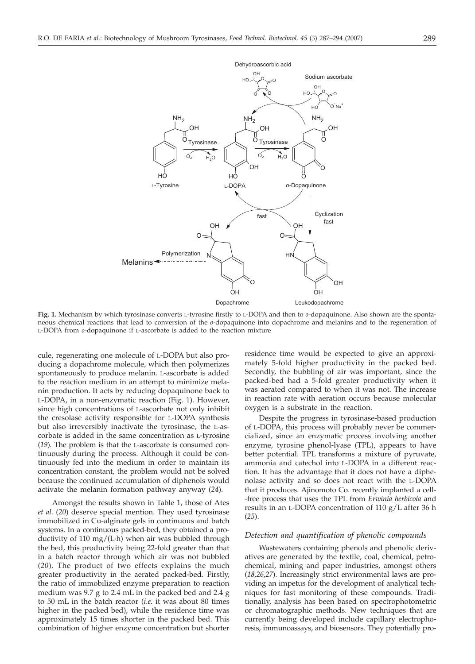

**Fig. 1.** Mechanism by which tyrosinase converts L-tyrosine firstly to L-DOPA and then to *o*-dopaquinone. Also shown are the spontaneous chemical reactions that lead to conversion of the *o*-dopaquinone into dopachrome and melanins and to the regeneration of L-DOPA from *o*-dopaquinone if L-ascorbate is added to the reaction mixture

cule, regenerating one molecule of L-DOPA but also producing a dopachrome molecule, which then polymerizes spontaneously to produce melanin. L-ascorbate is added to the reaction medium in an attempt to minimize melanin production. It acts by reducing dopaquinone back to L-DOPA, in a non-enzymatic reaction (Fig. 1). However, since high concentrations of L-ascorbate not only inhibit the cresolase activity responsible for L-DOPA synthesis but also irreversibly inactivate the tyrosinase, the L-ascorbate is added in the same concentration as L-tyrosine (*19*). The problem is that the L-ascorbate is consumed continuously during the process. Although it could be continuously fed into the medium in order to maintain its concentration constant, the problem would not be solved because the continued accumulation of diphenols would activate the melanin formation pathway anyway (*24*).

Amongst the results shown in Table 1, those of Ates *et al.* (*20*) deserve special mention. They used tyrosinase immobilized in Cu-alginate gels in continuous and batch systems. In a continuous packed-bed, they obtained a productivity of 110 mg/(L·h) when air was bubbled through the bed, this productivity being 22-fold greater than that in a batch reactor through which air was not bubbled (*20*). The product of two effects explains the much greater productivity in the aerated packed-bed. Firstly, the ratio of immobilized enzyme preparation to reaction medium was 9.7 g to 2.4 mL in the packed bed and 2.4 g to 50 mL in the batch reactor (*i.e.* it was about 80 times higher in the packed bed), while the residence time was approximately 15 times shorter in the packed bed. This combination of higher enzyme concentration but shorter

residence time would be expected to give an approximately 5-fold higher productivity in the packed bed. Secondly, the bubbling of air was important, since the packed-bed had a 5-fold greater productivity when it was aerated compared to when it was not. The increase in reaction rate with aeration occurs because molecular oxygen is a substrate in the reaction.

Despite the progress in tyrosinase-based production of L-DOPA, this process will probably never be commercialized, since an enzymatic process involving another enzyme, tyrosine phenol-lyase (TPL), appears to have better potential. TPL transforms a mixture of pyruvate, ammonia and catechol into L-DOPA in a different reaction. It has the advantage that it does not have a diphenolase activity and so does not react with the L-DOPA that it produces. Ajinomoto Co. recently implanted a cell- -free process that uses the TPL from *Erwinia herbicola* and results in an L-DOPA concentration of 110 g/L after 36 h (*25*).

## *Detection and quantification of phenolic compounds*

Wastewaters containing phenols and phenolic derivatives are generated by the textile, coal, chemical, petrochemical, mining and paper industries, amongst others (*18*,*26*,*27*). Increasingly strict environmental laws are providing an impetus for the development of analytical techniques for fast monitoring of these compounds. Traditionally, analysis has been based on spectrophotometric or chromatographic methods. New techniques that are currently being developed include capillary electrophoresis, immunoassays, and biosensors. They potentially pro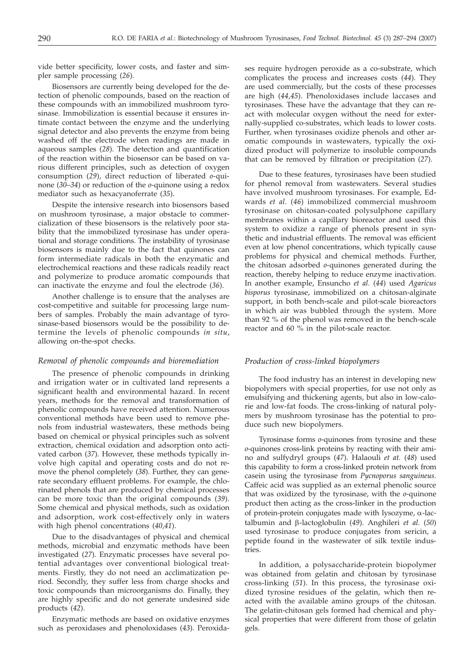vide better specificity, lower costs, and faster and simpler sample processing (*26*).

Biosensors are currently being developed for the detection of phenolic compounds, based on the reaction of these compounds with an immobilized mushroom tyrosinase. Immobilization is essential because it ensures intimate contact between the enzyme and the underlying signal detector and also prevents the enzyme from being washed off the electrode when readings are made in aqueous samples (*28*). The detection and quantification of the reaction within the biosensor can be based on various different principles, such as detection of oxygen consumption (*29*), direct reduction of liberated *o*-quinone (*30*–*34*) or reduction of the *o*-quinone using a redox mediator such as hexacyanoferrate (*35*).

Despite the intensive research into biosensors based on mushroom tyrosinase, a major obstacle to commercialization of these biosensors is the relatively poor stability that the immobilized tyrosinase has under operational and storage conditions. The instability of tyrosinase biosensors is mainly due to the fact that quinones can form intermediate radicals in both the enzymatic and electrochemical reactions and these radicals readily react and polymerize to produce aromatic compounds that can inactivate the enzyme and foul the electrode (*36*).

Another challenge is to ensure that the analyses are cost-competitive and suitable for processing large numbers of samples. Probably the main advantage of tyrosinase-based biosensors would be the possibility to determine the levels of phenolic compounds *in situ*, allowing on-the-spot checks.

## *Removal of phenolic compounds and bioremediation*

The presence of phenolic compounds in drinking and irrigation water or in cultivated land represents a significant health and environmental hazard. In recent years, methods for the removal and transformation of phenolic compounds have received attention. Numerous conventional methods have been used to remove phenols from industrial wastewaters, these methods being based on chemical or physical principles such as solvent extraction, chemical oxidation and adsorption onto activated carbon (*37*). However, these methods typically involve high capital and operating costs and do not remove the phenol completely (*38*). Further, they can generate secondary effluent problems. For example, the chlorinated phenols that are produced by chemical processes can be more toxic than the original compounds (*39*). Some chemical and physical methods, such as oxidation and adsorption, work cost-effectively only in waters with high phenol concentrations (*40*,*41*).

Due to the disadvantages of physical and chemical methods, microbial and enzymatic methods have been investigated (*27*). Enzymatic processes have several potential advantages over conventional biological treatments. Firstly, they do not need an acclimatization period. Secondly, they suffer less from charge shocks and toxic compounds than microorganisms do. Finally, they are highly specific and do not generate undesired side products (*42*).

Enzymatic methods are based on oxidative enzymes such as peroxidases and phenoloxidases (*43*). Peroxida-

ses require hydrogen peroxide as a co-substrate, which complicates the process and increases costs (*44*). They are used commercially, but the costs of these processes are high (*44*,*45*). Phenoloxidases include laccases and tyrosinases. These have the advantage that they can react with molecular oxygen without the need for externally-supplied co-substrates, which leads to lower costs. Further, when tyrosinases oxidize phenols and other aromatic compounds in wastewaters, typically the oxidized product will polymerize to insoluble compounds that can be removed by filtration or precipitation (*27*).

Due to these features, tyrosinases have been studied for phenol removal from wastewaters. Several studies have involved mushroom tyrosinases. For example, Edwards *et al.* (*46*) immobilized commercial mushroom tyrosinase on chitosan-coated polysulphone capillary membranes within a capillary bioreactor and used this system to oxidize a range of phenols present in synthetic and industrial effluents. The removal was efficient even at low phenol concentrations, which typically cause problems for physical and chemical methods. Further, the chitosan adsorbed *o*-quinones generated during the reaction, thereby helping to reduce enzyme inactivation. In another example, Ensuncho *et al.* (*44*) used *Agaricus bisporus* tyrosinase, immobilized on a chitosan-alginate support, in both bench-scale and pilot-scale bioreactors in which air was bubbled through the system. More than 92 % of the phenol was removed in the bench-scale reactor and 60 % in the pilot-scale reactor.

# *Production of cross-linked biopolymers*

The food industry has an interest in developing new biopolymers with special properties, for use not only as emulsifying and thickening agents, but also in low-calorie and low-fat foods. The cross-linking of natural polymers by mushroom tyrosinase has the potential to produce such new biopolymers.

Tyrosinase forms *o*-quinones from tyrosine and these *o*-quinones cross-link proteins by reacting with their amino and sulfydryl groups (*47*). Halaouli *et at.* (*48*) used this capability to form a cross-linked protein network from casein using the tyrosinase from *Pycnoporus sanguineus*. Caffeic acid was supplied as an external phenolic source that was oxidized by the tyrosinase, with the *o*-quinone product then acting as the cross-linker in the production of protein-protein conjugates made with lysozyme,  $\alpha$ -lactalbumin and b-lactoglobulin (*49*). Anghileri *et al.* (*50*) used tyrosinase to produce conjugates from sericin, a peptide found in the wastewater of silk textile industries.

In addition, a polysaccharide-protein biopolymer was obtained from gelatin and chitosan by tyrosinase cross-linking (*51*). In this process, the tyrosinase oxidized tyrosine residues of the gelatin, which then reacted with the available amino groups of the chitosan. The gelatin-chitosan gels formed had chemical and physical properties that were different from those of gelatin gels.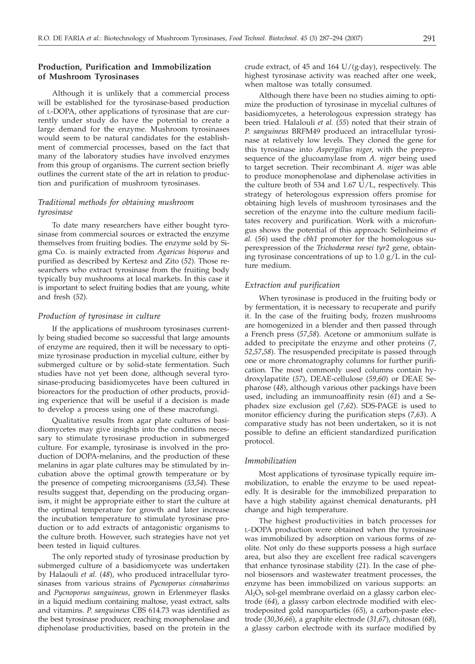# **Production, Purification and Immobilization of Mushroom Tyrosinases**

Although it is unlikely that a commercial process will be established for the tyrosinase-based production of L-DOPA, other applications of tyrosinase that are currently under study do have the potential to create a large demand for the enzyme. Mushroom tyrosinases would seem to be natural candidates for the establishment of commercial processes, based on the fact that many of the laboratory studies have involved enzymes from this group of organisms. The current section briefly outlines the current state of the art in relation to production and purification of mushroom tyrosinases.

# *Traditional methods for obtaining mushroom tyrosinase*

To date many researchers have either bought tyrosinase from commercial sources or extracted the enzyme themselves from fruiting bodies. The enzyme sold by Sigma Co. is mainly extracted from *Agaricus bisporus* and purified as described by Kertesz and Zito (*52*). Those researchers who extract tyrosinase from the fruiting body typically buy mushrooms at local markets. In this case it is important to select fruiting bodies that are young, white and fresh (*52*).

## *Production of tyrosinase in culture*

If the applications of mushroom tyrosinases currently being studied become so successful that large amounts of enzyme are required, then it will be necessary to optimize tyrosinase production in mycelial culture, either by submerged culture or by solid-state fermentation. Such studies have not yet been done, although several tyrosinase-producing basidiomycetes have been cultured in bioreactors for the production of other products, providing experience that will be useful if a decision is made to develop a process using one of these macrofungi.

Qualitative results from agar plate cultures of basidiomycetes may give insights into the conditions necessary to stimulate tyrosinase production in submerged culture. For example, tyrosinase is involved in the production of DOPA-melanins, and the production of these melanins in agar plate cultures may be stimulated by incubation above the optimal growth temperature or by the presence of competing microorganisms (*53*,*54*). These results suggest that, depending on the producing organism, it might be appropriate either to start the culture at the optimal temperature for growth and later increase the incubation temperature to stimulate tyrosinase production or to add extracts of antagonistic organisms to the culture broth. However, such strategies have not yet been tested in liquid cultures.

The only reported study of tyrosinase production by submerged culture of a basidiomycete was undertaken by Halaouli *et al.* (*48*), who produced intracellular tyrosinases from various strains of *Pycnoporus cinnabarinus* and *Pycnoporus sanguineus*, grown in Erlenmeyer flasks in a liquid medium containing maltose, yeast extract, salts and vitamins. *P. sanguineus* CBS 614.73 was identified as the best tyrosinase producer, reaching monophenolase and diphenolase productivities, based on the protein in the

crude extract, of 45 and 164  $U/(g \cdot day)$ , respectively. The highest tyrosinase activity was reached after one week, when maltose was totally consumed.

Although there have been no studies aiming to optimize the production of tyrosinase in mycelial cultures of basidiomycetes, a heterologous expression strategy has been tried. Halalouli *et al.* (*55*) noted that their strain of *P. sanguineus* BRFM49 produced an intracellular tyrosinase at relatively low levels. They cloned the gene for this tyrosinase into *Aspergillus niger*, with the preprosequence of the glucoamylase from *A. niger* being used to target secretion. Their recombinant *A. niger* was able to produce monophenolase and diphenolase activities in the culture broth of 534 and 1.67 U/L, respectively. This strategy of heterologous expression offers promise for obtaining high levels of mushroom tyrosinases and the secretion of the enzyme into the culture medium facilitates recovery and purification. Work with a microfungus shows the potential of this approach: Selinheimo *et al.* (*56*) used the *cbh1* promoter for the homologous superexpression of the *Trichoderma reesei tyr2* gene, obtaining tyrosinase concentrations of up to 1.0 g/L in the culture medium.

# *Extraction and purification*

When tyrosinase is produced in the fruiting body or by fermentation, it is necessary to recuperate and purify it. In the case of the fruiting body, frozen mushrooms are homogenized in a blender and then passed through a French press (*57*,*58*). Acetone or ammonium sulfate is added to precipitate the enzyme and other proteins (*7*, *52*,*57*,*58*). The resuspended precipitate is passed through one or more chromatography columns for further purification. The most commonly used columns contain hydroxylapatite (*57*), DEAE-cellulose (*59*,*60*) or DEAE Sepharose (*48*), although various other packings have been used, including an immunoaffinity resin (*61*) and a Sephadex size exclusion gel (*7*,*62*). SDS-PAGE is used to monitor efficiency during the purification steps (*7*,*63*). A comparative study has not been undertaken, so it is not possible to define an efficient standardized purification protocol.

## *Immobilization*

Most applications of tyrosinase typically require immobilization, to enable the enzyme to be used repeatedly. It is desirable for the immobilized preparation to have a high stability against chemical denaturants, pH change and high temperature.

The highest productivities in batch processes for L-DOPA production were obtained when the tyrosinase was immobilized by adsorption on various forms of zeolite. Not only do these supports possess a high surface area, but also they are excellent free radical scavengers that enhance tyrosinase stability (*21*). In the case of phenol biosensors and wastewater treatment processes, the enzyme has been immobilized on various supports: an  $Al_2O_3$  sol-gel membrane overlaid on a glassy carbon electrode (*64*), a glassy carbon electrode modified with electrodeposited gold nanoparticles (*65*), a carbon-paste electrode (*30*,*36*,*66*), a graphite electrode (*31*,*67*), chitosan (*68*), a glassy carbon electrode with its surface modified by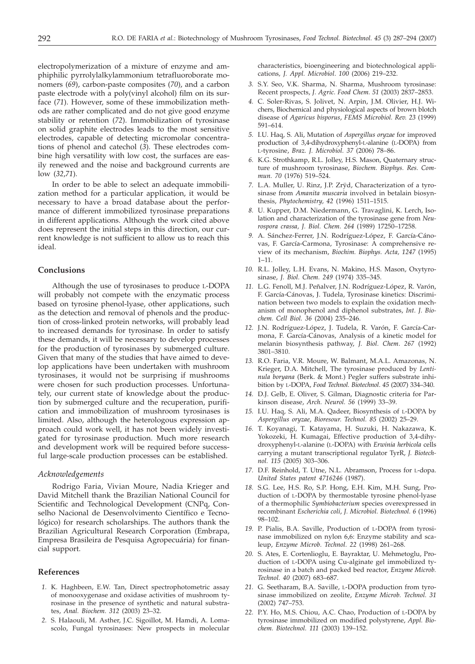electropolymerization of a mixture of enzyme and amphiphilic pyrrolylalkylammonium tetrafluoroborate monomers (*69*), carbon-paste composites (*70*), and a carbon paste electrode with a poly(vinyl alcohol) film on its surface (*71*). However, some of these immobilization methods are rather complicated and do not give good enzyme stability or retention (*72*). Immobilization of tyrosinase on solid graphite electrodes leads to the most sensitive electrodes, capable of detecting micromolar concentrations of phenol and catechol (*3*). These electrodes combine high versatility with low cost, the surfaces are easily renewed and the noise and background currents are low (*32*,*71*).

In order to be able to select an adequate immobilization method for a particular application, it would be necessary to have a broad database about the performance of different immobilized tyrosinase preparations in different applications. Although the work cited above does represent the initial steps in this direction, our current knowledge is not sufficient to allow us to reach this ideal.

## **Conclusions**

Although the use of tyrosinases to produce L-DOPA will probably not compete with the enzymatic process based on tyrosine phenol-lyase, other applications, such as the detection and removal of phenols and the production of cross-linked protein networks, will probably lead to increased demands for tyrosinase. In order to satisfy these demands, it will be necessary to develop processes for the production of tyrosinases by submerged culture. Given that many of the studies that have aimed to develop applications have been undertaken with mushroom tyrosinases, it would not be surprising if mushrooms were chosen for such production processes. Unfortunately, our current state of knowledge about the production by submerged culture and the recuperation, purification and immobilization of mushroom tyrosinases is limited. Also, although the heterologous expression approach could work well, it has not been widely investigated for tyrosinase production. Much more research and development work will be required before successful large-scale production processes can be established.

### *Acknowledgements*

Rodrigo Faria, Vivian Moure, Nadia Krieger and David Mitchell thank the Brazilian National Council for Scientific and Technological Development (CNPq, Conselho Nacional de Desenvolvimento Científico e Tecnológico) for research scholarships. The authors thank the Brazilian Agricultural Research Corporation (Embrapa, Empresa Brasileira de Pesquisa Agropecuária) for financial support.

## **References**

- *1.* K. Haghbeen, E.W. Tan, Direct spectrophotometric assay of monooxygenase and oxidase activities of mushroom tyrosinase in the presence of synthetic and natural substrates, *Anal. Biochem. 312* (2003) 23–32.
- *2.* S. Halaouli, M. Asther, J.C. Sigoillot, M. Hamdi, A. Lomascolo, Fungal tyrosinases: New prospects in molecular

characteristics, bioengineering and biotechnological applications*, J. Appl. Microbiol*. *100* (2006) 219–232.

- *3.* S.Y. Seo, V.K. Sharma, N. Sharma, Mushroom tyrosinase: Recent prospects, *J. Agric. Food Chem. 51* (2003) 2837–2853.
- *4.* C. Soler-Rivas, S. Jolivet, N. Arpin, J.M. Olivier, H.J. Wichers, Biochemical and physiological aspects of brown blotch disease of *Agaricus bisporus*, *FEMS Microbiol. Rev. 23* (1999) 591–614.
- *5.* I.U. Haq, S. Ali, Mutation of *Aspergillus oryzae* for improved production of 3,4-dihydroxyphenyl-L-alanine (L-DOPA) from L-tyrosine, *Braz. J. Microbiol. 37* (2006) 78–86.
- *6.* K.G. Strothkamp, R.L. Jolley, H.S. Mason, Quaternary structure of mushroom tyrosinase, *Biochem. Biophys. Res. Commun. 70* (1976) 519–524.
- *7.* L.A. Muller, U. Rinz, J.P. Zrÿd, Characterization of a tyrosinase from *Amanita muscaria* involved in betalain biosynthesis, *Phytochemistry, 42* (1996) 1511–1515.
- *8.* U. Kupper, D.M. Niedermann, G. Travaglini, K. Lerch, Isolation and characterization of the tyrosinase gene from *Neurospora crassa, J. Biol. Chem. 264* (1989) 17250–17258.
- *9.* A. Sánchez-Ferrer, J.N. Rodríguez-López, F. García-Cánovas, F. García-Carmona, Tyrosinase: A comprehensive review of its mechanism, *Biochim. Biophys. Acta, 1247* (1995) 1–11.
- *10.* R.L. Jolley, L.H. Evans, N. Makino, H.S. Mason, Oxytyrosinase, *J. Biol. Chem. 249* (1974) 335–345.
- *11.* L.G. Fenoll, M.J. Peñalver, J.N. Rodríguez-López, R. Varón, F. García-Cánovas, J. Tudela, Tyrosinase kinetics: Discrimination between two models to explain the oxidation mechanism of monophenol and diphenol substrates, *Int. J. Biochem. Cell Biol. 36* (2004) 235–246.
- *12.* J.N. Rodríguez-López, J. Tudela, R. Varón, F. García-Carmona, F. García-Cánovas, Analysis of a kinetic model for melanin biosynthesis pathway, *J. Biol. Chem*. *267* (1992) 3801–3810.
- *13.* R.O. Faria, V.R. Moure, W. Balmant, M.A.L. Amazonas, N. Krieger, D.A. Mitchell, The tyrosinase produced by *Lentinula boryana* (Berk. & Mont.) Pegler suffers substrate inhibition by L-DOPA, *Food Technol. Biotechnol*. *45* (2007) 334–340.
- *14.* D.J. Gelb, E. Oliver, S. Gilman, Diagnostic criteria for Parkinson disease, *Arch. Neurol. 56* (1999) 33–39.
- *15.* I.U. Haq, S. Ali, M.A. Qadeer, Biosynthesis of L-DOPA by *Aspergillus oryzae*, *Bioresour. Technol. 85* (2002) 25–29.
- *16.* T. Koyanagi, T. Katayama, H. Suzuki, H. Nakazawa, K. Yokozeki, H. Kumagai, Effective production of 3,4-dihydroxyphenyl-L-alanine (L-DOPA) with *Erwinia herbicola* cells carrying a mutant transcriptional regulator TyrR, *J. Biotechnol. 115* (2005) 303–306.
- *17.* D.F. Reinhold, T. Utne, N.L. Abramson, Process for L-dopa. *United States patent 4716246* (1987).
- *18.* S.G. Lee, H.S. Ro, S.P. Hong, E.H. Kim, M.H. Sung, Production of L-DOPA by thermostable tyrosine phenol-lyase of a thermophilic *Symbiobacterium* species overexpressed in recombinant *Escherichia coli*, *J. Microbiol. Biotechnol. 6* (1996) 98–102.
- *19.* P. Pialis, B.A. Saville, Production of L-DOPA from tyrosinase immobilized on nylon 6,6: Enzyme stability and scaleup, *Enzyme Microb. Technol. 22* (1998) 261–268.
- *20.* S. Ates, E. Cortenlioglu, E. Bayraktar, U. Mehmetoglu, Production of L-DOPA using Cu-alginate gel immobilized tyrosinase in a batch and packed bed reactor, *Enzyme Microb. Technol. 40* (2007) 683–687.
- *21.* G. Seetharam, B.A. Saville, L-DOPA production from tyrosinase immobilized on zeolite, *Enzyme Microb. Technol. 31* (2002) 747–753.
- *22.* P.Y. Ho, M.S. Chiou, A.C. Chao, Production of L-DOPA by tyrosinase immobilized on modified polystyrene, *Appl. Biochem. Biotechnol. 111* (2003) 139–152.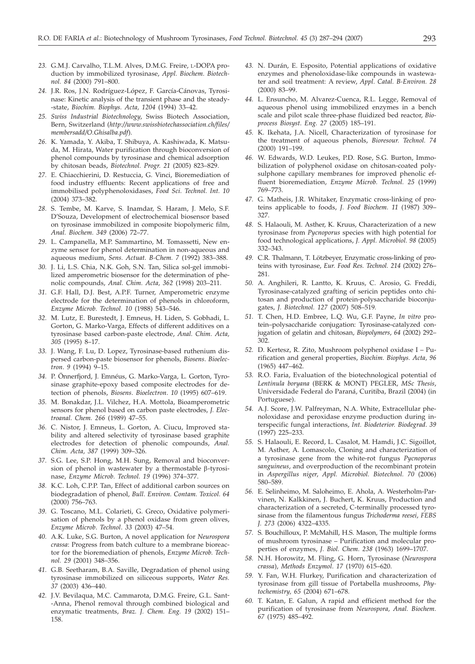- *23.* G.M.J. Carvalho, T.L.M. Alves, D.M.G. Freire, L-DOPA production by immobilized tyrosinase, *Appl. Biochem. Biotechnol. 84* (2000) 791–800.
- *24.* J.R. Ros, J.N. Rodríguez-López, F. García-Cánovas, Tyrosinase: Kinetic analysis of the transient phase and the steady- -state, *Biochim. Biophys. Acta, 1204* (1994) 33–42.
- *25. Swiss Industrial Biotechnology*, Swiss Biotech Association, Bern, Switzerland (*http://www.swissbiotechassociation.ch/files/ membersadd/O.Ghisalba.pdf*).
- *26.* K. Yamada, Y. Akiba, T. Shibuya, A. Kashiwada, K. Matsuda, M. Hirata, Water purification through bioconversion of phenol compounds by tyrosinase and chemical adsorption by chitosan beads, *Biotechnol. Progr. 21* (2005) 823–829.
- *27.* E. Chiacchierini, D. Restuccia, G. Vinci, Bioremediation of food industry effluents: Recent applications of free and immobilised polyphenoloxidases, *Food Sci. Technol. Int. 10* (2004) 373–382.
- *28.* S. Tembe, M. Karve, S. Inamdar, S. Haram, J. Melo, S.F. D'Souza, Development of electrochemical biosensor based on tyrosinase immobilized in composite biopolymeric film, *Anal. Biochem. 349* (2006) 72–77.
- *29.* L. Campanella, M.P. Sammartino, M. Tomassetti, New enzyme sensor for phenol determination in non-aqueous and aqueous medium, *Sens. Actuat. B-Chem. 7* (1992) 383–388.
- *30.* J. Li, L.S. Chia, N.K. Goh, S.N. Tan, Silica sol-gel immobilized amperometric biosensor for the determination of phenolic compounds, *Anal. Chim. Acta, 362* (1998) 203–211.
- *31.* G.F. Hall, D.J. Best, A.P.F. Turner, Amperometric enzyme electrode for the determination of phenols in chloroform, *Enzyme Microb. Technol. 10* (1988) 543–546.
- *32.* M. Lutz, E. Burestedt, J. Emneus, H. Liden, S. Gobhadi, L. Gorton, G. Marko-Varga, Effects of different additives on a tyrosinase based carbon-paste electrode, *Anal. Chim. Acta, 305* (1995) 8–17.
- *33.* J. Wang, F. Lu, D. Lopez, Tyrosinase-based ruthenium dispersed carbon-paste biosensor for phenols, *Biosens*. *Bioelectron*. *9* (1994) 9–15.
- *34.* P. Önnerfjord, J. Emnéus, G. Marko-Varga, L. Gorton, Tyrosinase graphite-epoxy based composite electrodes for detection of phenols, *Biosens*. *Bioelectron*. *10* (1995) 607–619.
- *35.* M. Bonakdar, J.L. Vilchez, H.A. Mottola, Bioamperometric sensors for phenol based on carbon paste electrodes, *J. Electroanal. Chem. 266* (1989) 47–55.
- *36.* C. Nistor, J. Emneus, L. Gorton, A. Ciucu, Improved stability and altered selectivity of tyrosinase based graphite electrodes for detection of phenolic compounds, *Anal. Chim. Acta, 387* (1999) 309–326.
- *37.* S.G. Lee, S.P. Hong, M.H. Sung, Removal and bioconversion of phenol in wastewater by a thermostable  $\beta$ -tyrosinase, *Enzyme Microb. Technol. 19* (1996) 374–377.
- *38.* K.C. Loh, C.P.P. Tan, Effect of additional carbon sources on biodegradation of phenol, *Bull. Environ. Contam. Toxicol. 64* (2000) 756–763.
- *39.* G. Toscano, M.L. Colarieti, G. Greco, Oxidative polymerisation of phenols by a phenol oxidase from green olives, *Enzyme Microb*. *Technol*. *33* (2003) 47–54.
- *40.* A.K. Luke, S.G. Burton, A novel application for *Neurospora crassa*: Progress from batch culture to a membrane bioreactor for the bioremediation of phenols, *Enzyme Microb. Technol. 29* (2001) 348–356.
- *41.* G.B. Seetharam, B.A. Saville, Degradation of phenol using tyrosinase immobilized on siliceous supports, *Water Res. 37* (2003) 436–440.
- *42.* J.V. Bevilaqua, M.C. Cammarota, D.M.G. Freire, G.L. Sant- -Anna, Phenol removal through combined biological and enzymatic treatments, *Braz. J. Chem. Eng. 19* (2002) 151– 158.
- *43.* N. Durán, E. Esposito, Potential applications of oxidative enzymes and phenoloxidase-like compounds in wastewater and soil treatment: A review, *Appl. Catal. B-Environ. 28* (2000) 83–99.
- *44.* L. Ensuncho, M. Alvarez-Cuenca, R.L. Legge, Removal of aqueous phenol using immobilized enzymes in a bench scale and pilot scale three-phase fluidized bed reactor, *Bioprocess Biosyst. Eng. 27* (2005) 185–191.
- *45.* K. Ikehata, J.A. Nicell, Characterization of tyrosinase for the treatment of aqueous phenols, *Bioresour. Technol. 74* (2000) 191–199.
- *46.* W. Edwards, W.D. Leukes, P.D. Rose, S.G. Burton, Immobilization of polyphenol oxidase on chitosan-coated polysulphone capillary membranes for improved phenolic effluent bioremediation, *Enzyme Microb. Technol. 25* (1999) 769–773.
- *47.* G. Matheis, J.R. Whitaker, Enzymatic cross-linking of proteins applicable to foods, *J. Food Biochem. 11* (1987) 309– 327.
- *48.* S. Halaouli, M. Asther, K. Kruus, Characterization of a new tyrosinase from *Pycnoporus* species with high potential for food technological applications, *J. Appl. Microbiol. 98* (2005) 332–343.
- *49.* C.R. Thalmann, T. Lötzbeyer, Enzymatic cross-linking of proteins with tyrosinase, *Eur. Food Res. Technol. 214* (2002) 276– 281.
- *50.* A. Anghileri, R. Lantto, K. Kruus, C. Arosio, G. Freddi, Tyrosinase-catalyzed grafting of sericin peptides onto chitosan and production of protein-polysaccharide bioconjugates, *J. Biotechnol. 127* (2007) 508–519*.*
- *51.* T. Chen, H.D. Embree, L.Q. Wu, G.F. Payne, *In vitro* protein–polysaccharide conjugation: Tyrosinase-catalyzed conjugation of gelatin and chitosan, *Biopolymers*, *64* (2002) 292– 302.
- *52.* D. Kertesz, R. Zito, Mushroom polyphenol oxidase I Purification and general properties, *Biochim. Biophys. Acta, 96* (1965) 447–462.
- *53.* R.O. Faria, Evaluation of the biotechnological potential of *Lentinula boryana* (BERK & MONT) PEGLER, *MSc Thesis*, Universidade Federal do Paraná, Curitiba, Brazil (2004) (in Portuguese).
- *54.* A.J. Score, J.W. Palfreyman, N.A. White, Extracellular phenoloxidase and peroxidase enzyme production during interspecific fungal interactions, *Int. Biodeterior. Biodegrad*. *39* (1997) 225–233.
- *55.* S. Halaouli, E. Record, L. Casalot, M. Hamdi, J.C. Sigoillot, M. Asther, A. Lomascolo, Cloning and characterization of a tyrosinase gene from the white-rot fungus *Pycnoporus sanguineus*, and overproduction of the recombinant protein in *Aspergillus niger*, *Appl. Microbiol. Biotechnol. 70* (2006) 580–589.
- *56.* E. Selinheimo, M. Saloheimo, E. Ahola, A. Westerholm-Parvinen, N. Kalkkinen, J. Buchert, K. Kruus, Production and characterization of a secreted, C-terminally processed tyrosinase from the filamentous fungus *Trichoderma reesei*, *FEBS J. 273* (2006) 4322–4335.
- *57.* S. Bouchilloux, P. McMahill, H.S. Mason, The multiple forms of mushroom tyrosinase – Purification and molecular properties of enzymes, *J. Biol. Chem. 238* (1963) 1699–1707.
- *58.* N.H. Horowitz, M. Fling, G. Horn, Tyrosinase (*Neurospora crassa*), *Methods Enzymol*. *17* (1970) 615–620.
- *59.* Y. Fan, W.H. Flurkey, Purification and characterization of tyrosinase from gill tissue of Portabella mushrooms, *Phytochemistry, 65* (2004) 671–678.
- *60.* T. Katan, E. Galun, A rapid and efficient method for the purification of tyrosinase from *Neurospora, Anal. Biochem. 67* (1975) 485–492.